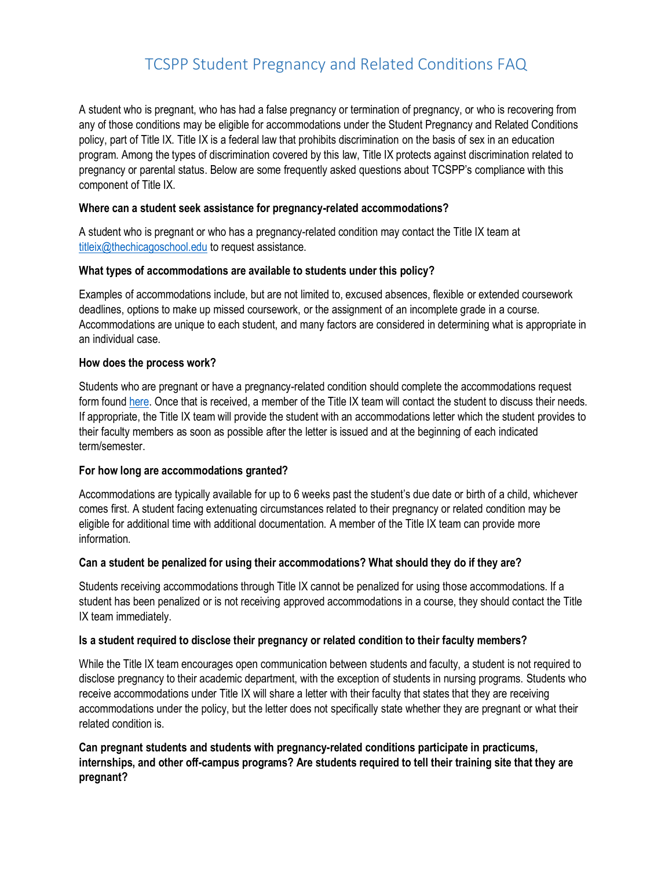# TCSPP Student Pregnancy and Related Conditions FAQ

A student who is pregnant, who has had a false pregnancy or termination of pregnancy, or who is recovering from any of those conditions may be eligible for accommodations under the Student Pregnancy and Related Conditions policy, part of Title IX. Title IX is a federal law that prohibits discrimination on the basis of sex in an education program. Among the types of discrimination covered by this law, Title IX protects against discrimination related to pregnancy or parental status. Below are some frequently asked questions about TCSPP's compliance with this component of Title IX.

### **Where can a student seek assistance for pregnancy-related accommodations?**

A student who is pregnant or who has a pregnancy-related condition may contact the Title IX team at [titleix@thechicagoschool.edu](mailto:titleix@thechicagoschool.edu) to request assistance.

#### **What types of accommodations are available to students under this policy?**

Examples of accommodations include, but are not limited to, excused absences, flexible or extended coursework deadlines, options to make up missed coursework, or the assignment of an incomplete grade in a course. Accommodations are unique to each student, and many factors are considered in determining what is appropriate in an individual case.

#### **How does the process work?**

Students who are pregnant or have a pregnancy-related condition should complete the accommodations request form foun[d here.](https://cm.maxient.com/reportingform.php?TheChicagoSchool&layout_id=3) Once that is received, a member of the Title IX team will contact the student to discuss their needs. If appropriate, the Title IX team will provide the student with an accommodations letter which the student provides to their faculty members as soon as possible after the letter is issued and at the beginning of each indicated term/semester.

### **For how long are accommodations granted?**

Accommodations are typically available for up to 6 weeks past the student's due date or birth of a child, whichever comes first. A student facing extenuating circumstances related to their pregnancy or related condition may be eligible for additional time with additional documentation. A member of the Title IX team can provide more information.

#### **Can a student be penalized for using their accommodations? What should they do if they are?**

Students receiving accommodations through Title IX cannot be penalized for using those accommodations. If a student has been penalized or is not receiving approved accommodations in a course, they should contact the Title IX team immediately.

#### **Is a student required to disclose their pregnancy or related condition to their faculty members?**

While the Title IX team encourages open communication between students and faculty, a student is not required to disclose pregnancy to their academic department, with the exception of students in nursing programs. Students who receive accommodations under Title IX will share a letter with their faculty that states that they are receiving accommodations under the policy, but the letter does not specifically state whether they are pregnant or what their related condition is.

**Can pregnant students and students with pregnancy-related conditions participate in practicums, internships, and other off-campus programs? Are students required to tell their training site that they are pregnant?**